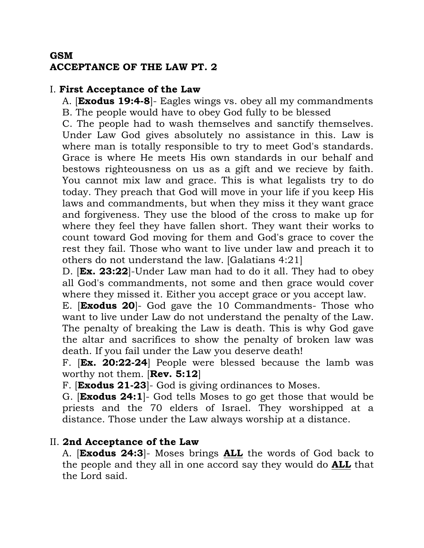## **GSM ACCEPTANCE OF THE LAW PT. 2**

#### I. **First Acceptance of the Law**

A. [**Exodus 19:4-8**]- Eagles wings vs. obey all my commandments B. The people would have to obey God fully to be blessed

C. The people had to wash themselves and sanctify themselves. Under Law God gives absolutely no assistance in this. Law is where man is totally responsible to try to meet God's standards. Grace is where He meets His own standards in our behalf and bestows righteousness on us as a gift and we recieve by faith. You cannot mix law and grace. This is what legalists try to do today. They preach that God will move in your life if you keep His laws and commandments, but when they miss it they want grace and forgiveness. They use the blood of the cross to make up for where they feel they have fallen short. They want their works to count toward God moving for them and God's grace to cover the rest they fail. Those who want to live under law and preach it to others do not understand the law. [Galatians 4:21]

D. [**Ex. 23:22**]-Under Law man had to do it all. They had to obey all God's commandments, not some and then grace would cover where they missed it. Either you accept grace or you accept law.

E. [**Exodus 20**]- God gave the 10 Commandments- Those who want to live under Law do not understand the penalty of the Law. The penalty of breaking the Law is death. This is why God gave the altar and sacrifices to show the penalty of broken law was death. If you fail under the Law you deserve death!

F. [**Ex. 20:22-24**] People were blessed because the lamb was worthy not them. [**Rev. 5:12**]

F. [**Exodus 21-23**]- God is giving ordinances to Moses.

G. [**Exodus 24:1**]- God tells Moses to go get those that would be priests and the 70 elders of Israel. They worshipped at a distance. Those under the Law always worship at a distance.

## II. **2nd Acceptance of the Law**

A. [**Exodus 24:3**]- Moses brings **ALL** the words of God back to the people and they all in one accord say they would do **ALL** that the Lord said.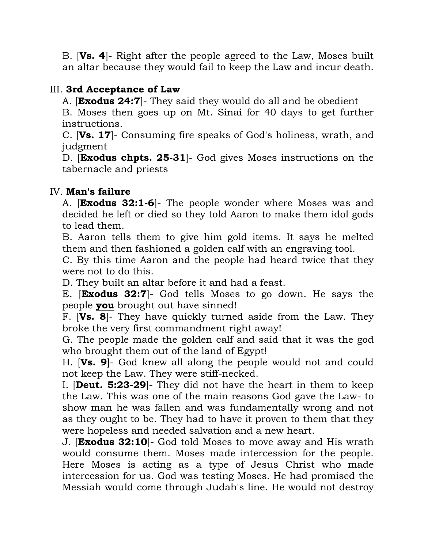B. [**Vs. 4**]- Right after the people agreed to the Law, Moses built an altar because they would fail to keep the Law and incur death.

# III. **3rd Acceptance of Law**

A. [**Exodus 24:7**]- They said they would do all and be obedient

B. Moses then goes up on Mt. Sinai for 40 days to get further instructions.

C. [**Vs. 17**]- Consuming fire speaks of God's holiness, wrath, and judgment

D. [**Exodus chpts. 25-31**]- God gives Moses instructions on the tabernacle and priests

## IV. **Man's failure**

A. [**Exodus 32:1-6**]- The people wonder where Moses was and decided he left or died so they told Aaron to make them idol gods to lead them.

B. Aaron tells them to give him gold items. It says he melted them and then fashioned a golden calf with an engraving tool.

C. By this time Aaron and the people had heard twice that they were not to do this.

D. They built an altar before it and had a feast.

E. [**Exodus 32:7**]- God tells Moses to go down. He says the people **you** brought out have sinned!

F. [**Vs. 8**]- They have quickly turned aside from the Law. They broke the very first commandment right away!

G. The people made the golden calf and said that it was the god who brought them out of the land of Egypt!

H. [**Vs. 9**]- God knew all along the people would not and could not keep the Law. They were stiff-necked.

I. [**Deut. 5:23-29**]- They did not have the heart in them to keep the Law. This was one of the main reasons God gave the Law- to show man he was fallen and was fundamentally wrong and not as they ought to be. They had to have it proven to them that they were hopeless and needed salvation and a new heart.

J. [**Exodus 32:10**]- God told Moses to move away and His wrath would consume them. Moses made intercession for the people. Here Moses is acting as a type of Jesus Christ who made intercession for us. God was testing Moses. He had promised the Messiah would come through Judah's line. He would not destroy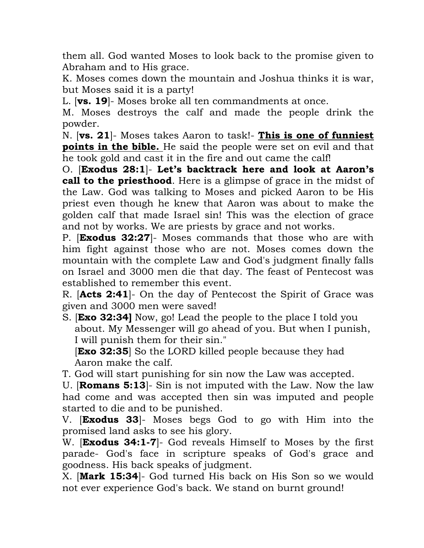them all. God wanted Moses to look back to the promise given to Abraham and to His grace.

K. Moses comes down the mountain and Joshua thinks it is war, but Moses said it is a party!

L. [**vs. 19**]- Moses broke all ten commandments at once.

M. Moses destroys the calf and made the people drink the powder.

N. [**vs. 21**]- Moses takes Aaron to task!- **This is one of funniest points in the bible.** He said the people were set on evil and that he took gold and cast it in the fire and out came the calf!

O. [**Exodus 28:1**]- **Let's backtrack here and look at Aaron's call to the priesthood**. Here is a glimpse of grace in the midst of the Law. God was talking to Moses and picked Aaron to be His priest even though he knew that Aaron was about to make the golden calf that made Israel sin! This was the election of grace and not by works. We are priests by grace and not works.

P. [**Exodus 32:27**]- Moses commands that those who are with him fight against those who are not. Moses comes down the mountain with the complete Law and God's judgment finally falls on Israel and 3000 men die that day. The feast of Pentecost was established to remember this event.

R. [**Acts 2:41**]- On the day of Pentecost the Spirit of Grace was given and 3000 men were saved!

S. [**Exo 32:34]** Now, go! Lead the people to the place I told you about. My Messenger will go ahead of you. But when I punish, I will punish them for their sin."

**[Exo 32:35]** So the LORD killed people because they had Aaron make the calf.

T. God will start punishing for sin now the Law was accepted.

U. [**Romans 5:13**]- Sin is not imputed with the Law. Now the law had come and was accepted then sin was imputed and people started to die and to be punished.

V. [**Exodus 33**]- Moses begs God to go with Him into the promised land asks to see his glory.

W. [**Exodus 34:1-7**]- God reveals Himself to Moses by the first parade- God's face in scripture speaks of God's grace and goodness. His back speaks of judgment.

X. [**Mark 15:34**]- God turned His back on His Son so we would not ever experience God's back. We stand on burnt ground!